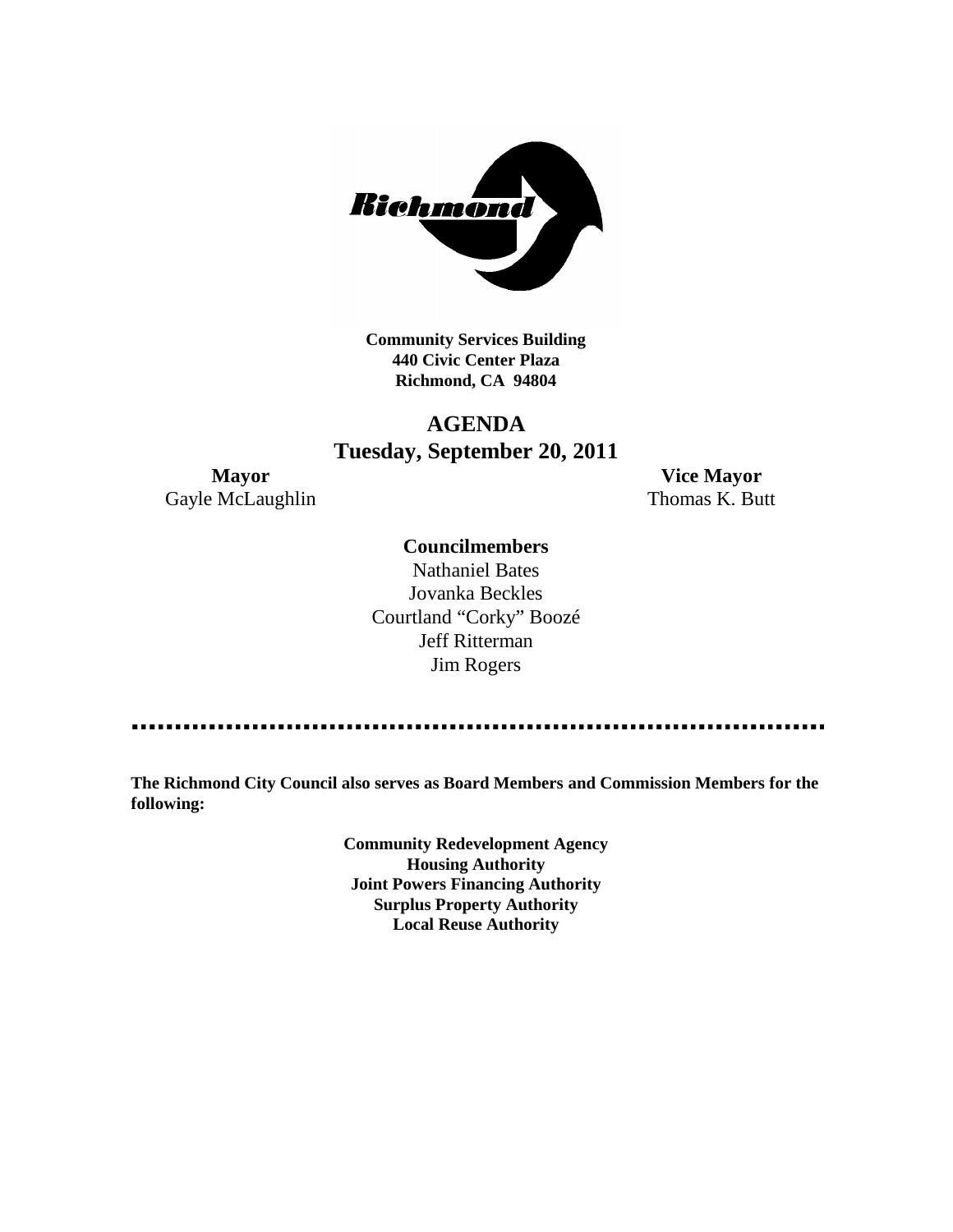

**Community Services Building 440 Civic Center Plaza Richmond, CA 94804**

## **AGENDA Tuesday, September 20, 2011**

Gayle McLaughlin Thomas K. Butt

**Mayor Vice Mayor**

#### **Councilmembers**

Nathaniel Bates Jovanka Beckles Courtland "Corky" Boozé Jeff Ritterman Jim Rogers

**The Richmond City Council also serves as Board Members and Commission Members for the following:**

> **Community Redevelopment Agency Housing Authority Joint Powers Financing Authority Surplus Property Authority Local Reuse Authority**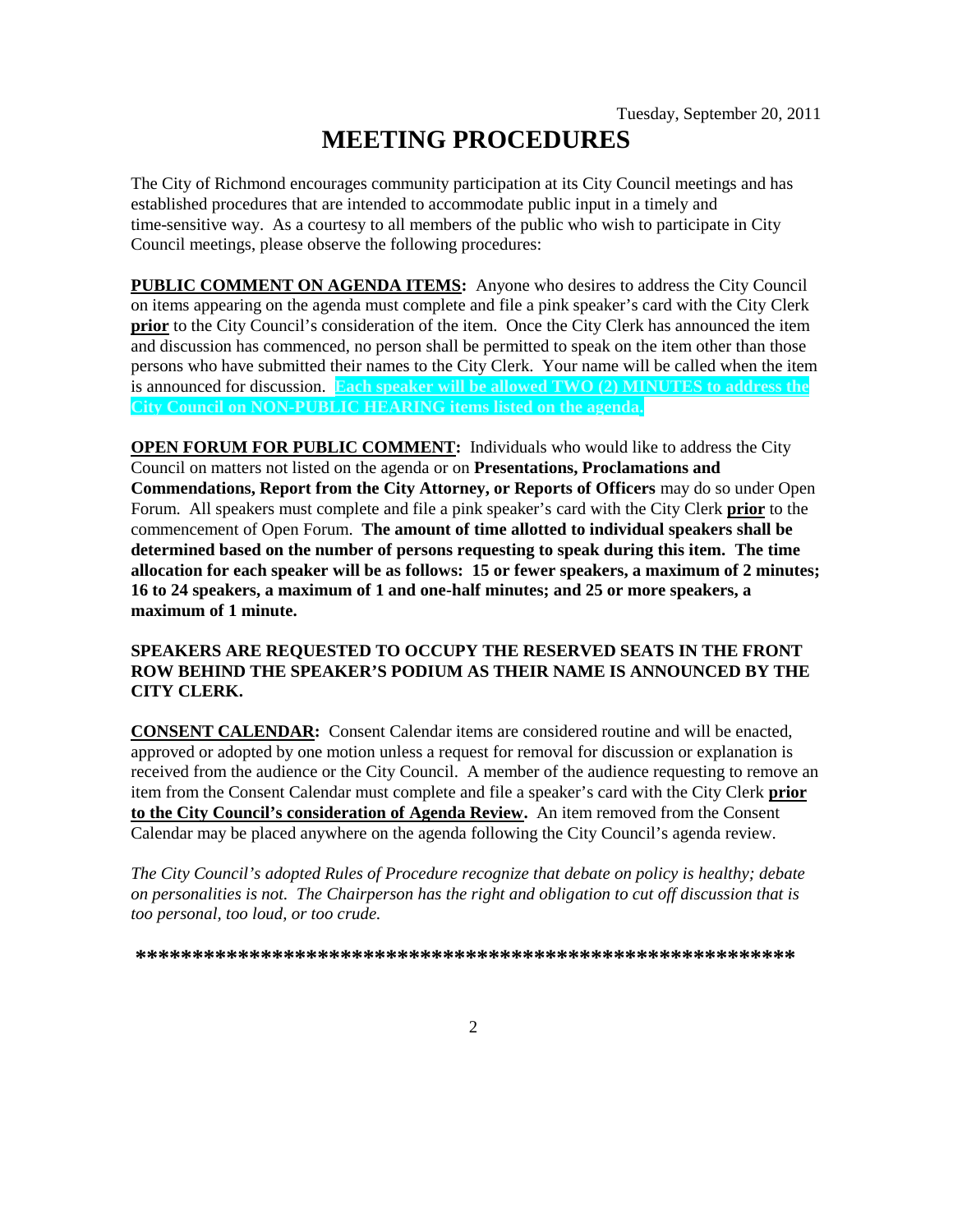# **MEETING PROCEDURES**

The City of Richmond encourages community participation at its City Council meetings and has established procedures that are intended to accommodate public input in a timely and time-sensitive way. As a courtesy to all members of the public who wish to participate in City Council meetings, please observe the following procedures:

**PUBLIC COMMENT ON AGENDA ITEMS:** Anyone who desires to address the City Council on items appearing on the agenda must complete and file a pink speaker's card with the City Clerk **prior** to the City Council's consideration of the item. Once the City Clerk has announced the item and discussion has commenced, no person shall be permitted to speak on the item other than those persons who have submitted their names to the City Clerk. Your name will be called when the item is announced for discussion. **Each speaker will be allowed TWO (2) MINUTES to address the City Council on NON-PUBLIC HEARING items listed on the agenda.**

**OPEN FORUM FOR PUBLIC COMMENT:** Individuals who would like to address the City Council on matters not listed on the agenda or on **Presentations, Proclamations and Commendations, Report from the City Attorney, or Reports of Officers** may do so under Open Forum. All speakers must complete and file a pink speaker's card with the City Clerk **prior** to the commencement of Open Forum. **The amount of time allotted to individual speakers shall be determined based on the number of persons requesting to speak during this item. The time allocation for each speaker will be as follows: 15 or fewer speakers, a maximum of 2 minutes; 16 to 24 speakers, a maximum of 1 and one-half minutes; and 25 or more speakers, a maximum of 1 minute.**

#### **SPEAKERS ARE REQUESTED TO OCCUPY THE RESERVED SEATS IN THE FRONT ROW BEHIND THE SPEAKER'S PODIUM AS THEIR NAME IS ANNOUNCED BY THE CITY CLERK.**

**CONSENT CALENDAR:** Consent Calendar items are considered routine and will be enacted, approved or adopted by one motion unless a request for removal for discussion or explanation is received from the audience or the City Council. A member of the audience requesting to remove an item from the Consent Calendar must complete and file a speaker's card with the City Clerk **prior to the City Council's consideration of Agenda Review.** An item removed from the Consent Calendar may be placed anywhere on the agenda following the City Council's agenda review.

*The City Council's adopted Rules of Procedure recognize that debate on policy is healthy; debate on personalities is not. The Chairperson has the right and obligation to cut off discussion that is too personal, too loud, or too crude.*

**\*\*\*\*\*\*\*\*\*\*\*\*\*\*\*\*\*\*\*\*\*\*\*\*\*\*\*\*\*\*\*\*\*\*\*\*\*\*\*\*\*\*\*\*\*\*\*\*\*\*\*\*\*\*\*\*\*\***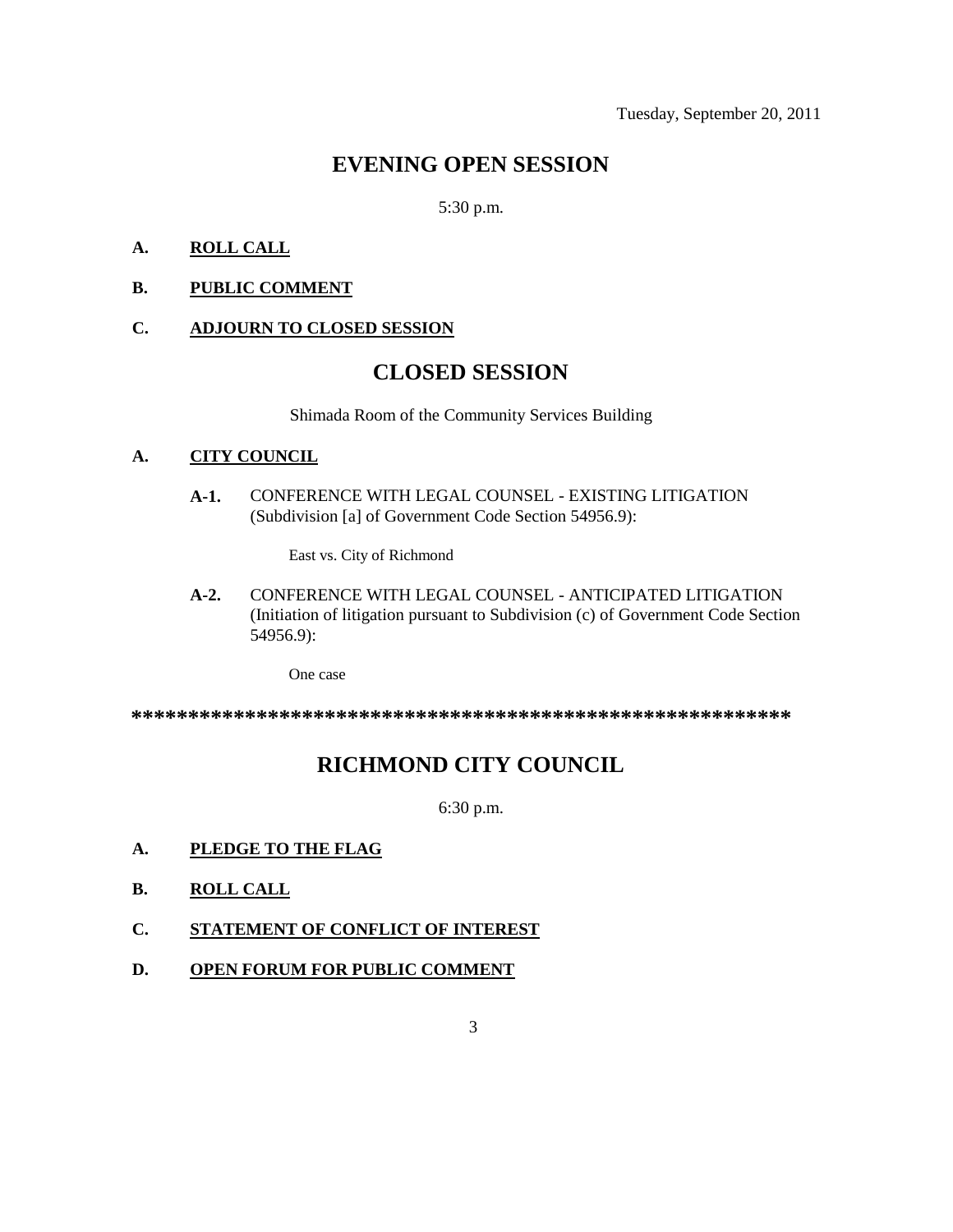## **EVENING OPEN SESSION**

5:30 p.m.

#### **A. ROLL CALL**

#### **B. PUBLIC COMMENT**

#### **C. ADJOURN TO CLOSED SESSION**

## **CLOSED SESSION**

Shimada Room of the Community Services Building

#### **A. CITY COUNCIL**

**A-1.** CONFERENCE WITH LEGAL COUNSEL - EXISTING LITIGATION (Subdivision [a] of Government Code Section 54956.9):

East vs. City of Richmond

**A-2.** CONFERENCE WITH LEGAL COUNSEL - ANTICIPATED LITIGATION (Initiation of litigation pursuant to Subdivision (c) of Government Code Section 54956.9):

One case

**\*\*\*\*\*\*\*\*\*\*\*\*\*\*\*\*\*\*\*\*\*\*\*\*\*\*\*\*\*\*\*\*\*\*\*\*\*\*\*\*\*\*\*\*\*\*\*\*\*\*\*\*\*\*\*\*\*\***

## **RICHMOND CITY COUNCIL**

6:30 p.m.

- **A. PLEDGE TO THE FLAG**
- **B. ROLL CALL**
- **C. STATEMENT OF CONFLICT OF INTEREST**
- **D. OPEN FORUM FOR PUBLIC COMMENT**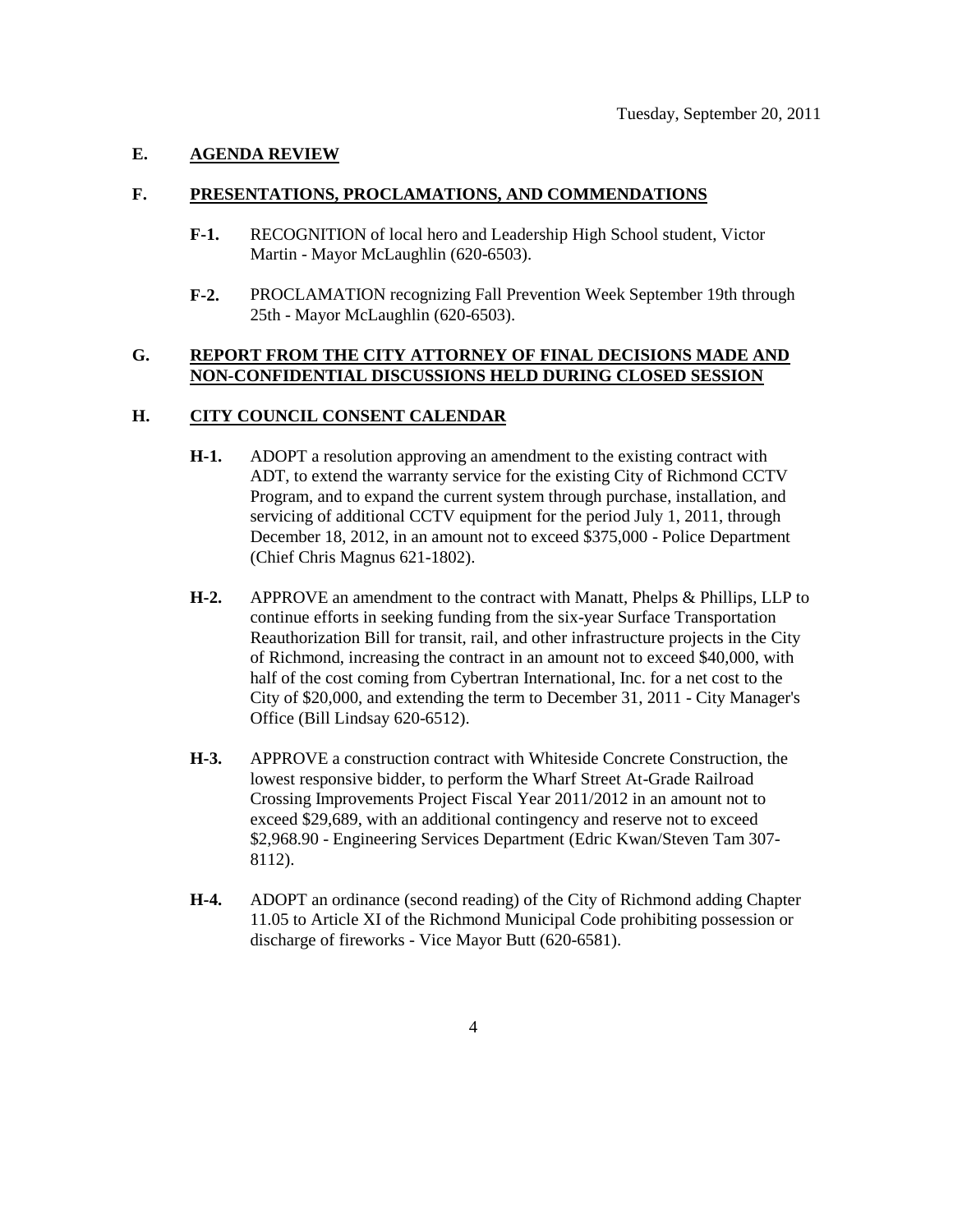#### **E. AGENDA REVIEW**

#### **F. PRESENTATIONS, PROCLAMATIONS, AND COMMENDATIONS**

- **F-1.** RECOGNITION of local hero and Leadership High School student, Victor Martin - Mayor McLaughlin (620-6503).
- **F-2.** PROCLAMATION recognizing Fall Prevention Week September 19th through 25th - Mayor McLaughlin (620-6503).

#### **G. REPORT FROM THE CITY ATTORNEY OF FINAL DECISIONS MADE AND NON-CONFIDENTIAL DISCUSSIONS HELD DURING CLOSED SESSION**

#### **H. CITY COUNCIL CONSENT CALENDAR**

- **H-1.** ADOPT a resolution approving an amendment to the existing contract with ADT, to extend the warranty service for the existing City of Richmond CCTV Program, and to expand the current system through purchase, installation, and servicing of additional CCTV equipment for the period July 1, 2011, through December 18, 2012, in an amount not to exceed \$375,000 - Police Department (Chief Chris Magnus 621-1802).
- **H-2.** APPROVE an amendment to the contract with Manatt, Phelps & Phillips, LLP to continue efforts in seeking funding from the six-year Surface Transportation Reauthorization Bill for transit, rail, and other infrastructure projects in the City of Richmond, increasing the contract in an amount not to exceed \$40,000, with half of the cost coming from Cybertran International, Inc. for a net cost to the City of \$20,000, and extending the term to December 31, 2011 - City Manager's Office (Bill Lindsay 620-6512).
- **H-3.** APPROVE a construction contract with Whiteside Concrete Construction, the lowest responsive bidder, to perform the Wharf Street At-Grade Railroad Crossing Improvements Project Fiscal Year 2011/2012 in an amount not to exceed \$29,689, with an additional contingency and reserve not to exceed \$2,968.90 - Engineering Services Department (Edric Kwan/Steven Tam 307- 8112).
- **H-4.** ADOPT an ordinance (second reading) of the City of Richmond adding Chapter 11.05 to Article XI of the Richmond Municipal Code prohibiting possession or discharge of fireworks - Vice Mayor Butt (620-6581).